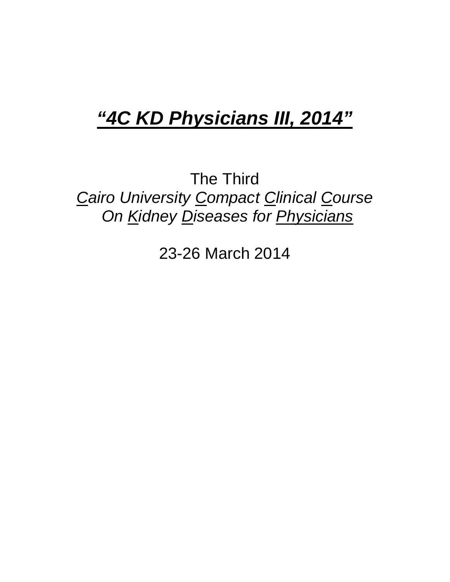# *"4C KD Physicians III, 2014"*

The Third *Cairo University Compact Clinical Course On Kidney Diseases for Physicians* 

23-26 March 2014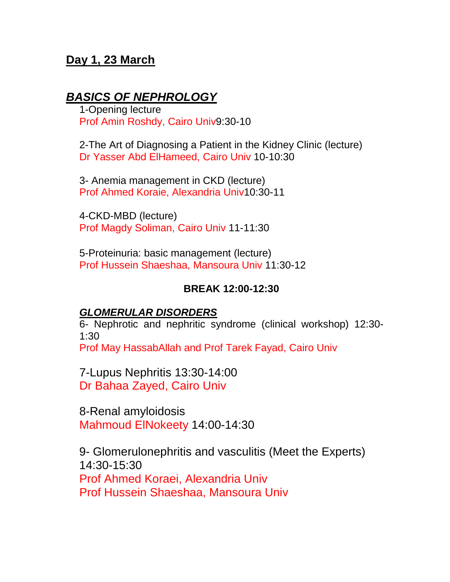## **Day 1, 23 March**

## *BASICS OF NEPHROLOGY*

1-Opening lecture Prof Amin Roshdy, Cairo Univ9:30-10

2-The Art of Diagnosing a Patient in the Kidney Clinic (lecture) Dr Yasser Abd ElHameed, Cairo Univ 10-10:30

3- Anemia management in CKD (lecture) Prof Ahmed Koraie, Alexandria Univ10:30-11

4-CKD-MBD (lecture) Prof Magdy Soliman, Cairo Univ 11-11:30

5-Proteinuria: basic management (lecture) Prof Hussein Shaeshaa, Mansoura Univ 11:30-12

#### **BREAK 12:00-12:30**

#### *GLOMERULAR DISORDERS*

6- Nephrotic and nephritic syndrome (clinical workshop) 12:30- 1:30

Prof May HassabAllah and Prof Tarek Fayad, Cairo Univ

7-Lupus Nephritis 13:30-14:00 Dr Bahaa Zayed, Cairo Univ

8-Renal amyloidosis Mahmoud ElNokeety 14:00-14:30

9- Glomerulonephritis and vasculitis (Meet the Experts) 14:30-15:30 Prof Ahmed Koraei, Alexandria Univ Prof Hussein Shaeshaa, Mansoura Univ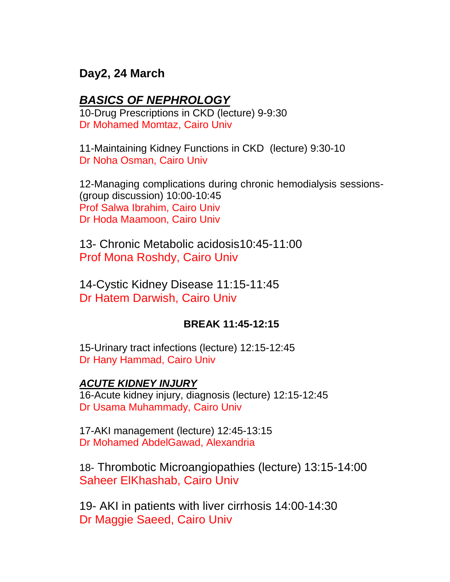## **Day2, 24 March**

## *BASICS OF NEPHROLOGY*

10-Drug Prescriptions in CKD (lecture) 9-9:30 Dr Mohamed Momtaz, Cairo Univ

11-Maintaining Kidney Functions in CKD (lecture) 9:30-10 Dr Noha Osman, Cairo Univ

12-Managing complications during chronic hemodialysis sessions- (group discussion) 10:00-10:45 Prof Salwa Ibrahim, Cairo Univ Dr Hoda Maamoon, Cairo Univ

13- Chronic Metabolic acidosis10:45-11:00 Prof Mona Roshdy, Cairo Univ

14-Cystic Kidney Disease 11:15-11:45 Dr Hatem Darwish, Cairo Univ

#### **BREAK 11:45-12:15**

15-Urinary tract infections (lecture) 12:15-12:45 Dr Hany Hammad, Cairo Univ

## *ACUTE KIDNEY INJURY*

16-Acute kidney injury, diagnosis (lecture) 12:15-12:45 Dr Usama Muhammady, Cairo Univ

17-AKI management (lecture) 12:45-13:15 Dr Mohamed AbdelGawad, Alexandria

18- Thrombotic Microangiopathies (lecture) 13:15-14:00 Saheer ElKhashab, Cairo Univ

19- AKI in patients with liver cirrhosis 14:00-14:30 Dr Maggie Saeed, Cairo Univ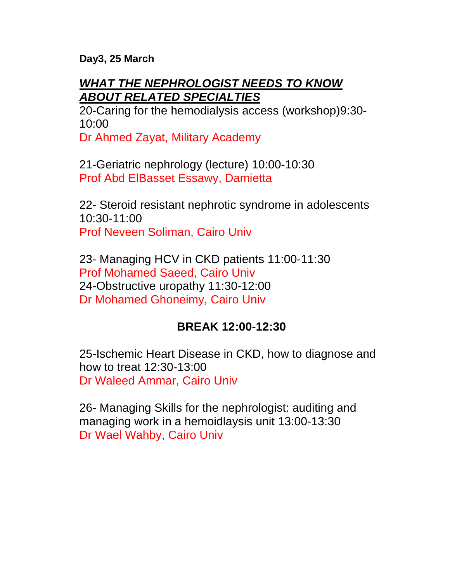**Day3, 25 March**

# *WHAT THE NEPHROLOGIST NEEDS TO KNOW ABOUT RELATED SPECIALTIES*

20-Caring for the hemodialysis access (workshop)9:30- 10:00

Dr Ahmed Zayat, Military Academy

21-Geriatric nephrology (lecture) 10:00-10:30 Prof Abd ElBasset Essawy, Damietta

22- Steroid resistant nephrotic syndrome in adolescents 10:30-11:00 Prof Neveen Soliman, Cairo Univ

23- Managing HCV in CKD patients 11:00-11:30 Prof Mohamed Saeed, Cairo Univ 24-Obstructive uropathy 11:30-12:00 Dr Mohamed Ghoneimy, Cairo Univ

# **BREAK 12:00-12:30**

25-Ischemic Heart Disease in CKD, how to diagnose and how to treat 12:30-13:00 Dr Waleed Ammar, Cairo Univ

26- Managing Skills for the nephrologist: auditing and managing work in a hemoidlaysis unit 13:00-13:30 Dr Wael Wahby, Cairo Univ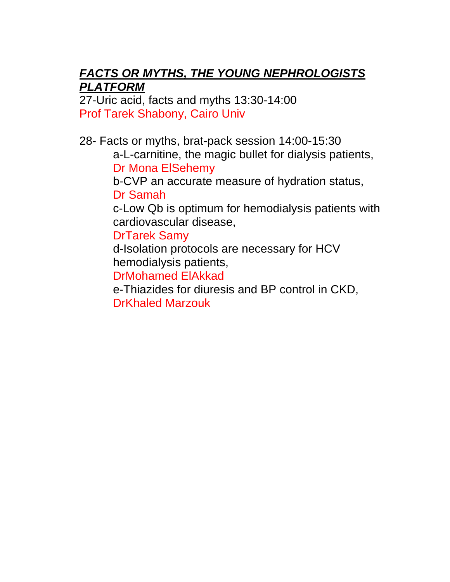# *FACTS OR MYTHS, THE YOUNG NEPHROLOGISTS PLATFORM*

27-Uric acid, facts and myths 13:30-14:00 Prof Tarek Shabony, Cairo Univ

28- Facts or myths, brat-pack session 14:00-15:30

a-L-carnitine, the magic bullet for dialysis patients, Dr Mona ElSehemy

b-CVP an accurate measure of hydration status, Dr Samah

c-Low Qb is optimum for hemodialysis patients with cardiovascular disease,

DrTarek Samy

d-Isolation protocols are necessary for HCV hemodialysis patients,

DrMohamed ElAkkad

e-Thiazides for diuresis and BP control in CKD, DrKhaled Marzouk